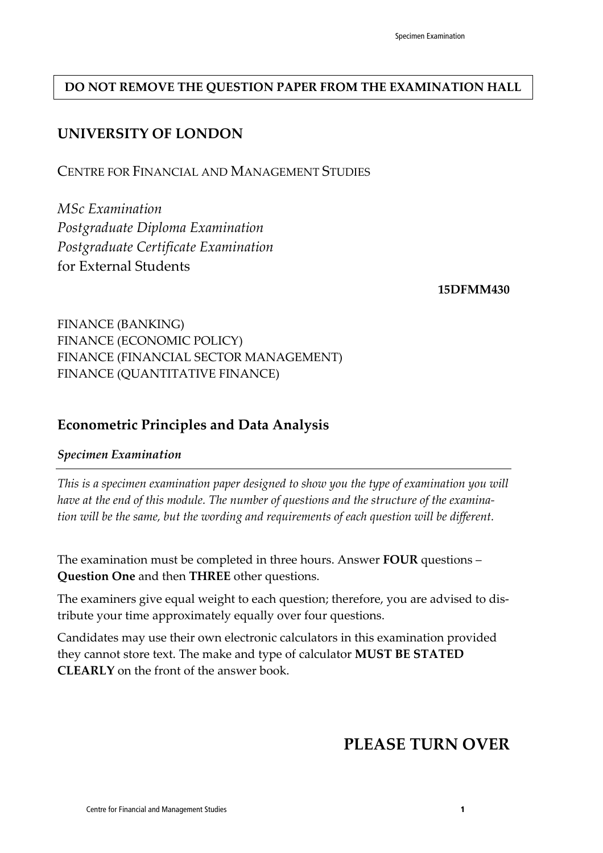### **DO NOT REMOVE THE QUESTION PAPER FROM THE EXAMINATION HALL**

### **UNIVERSITY OF LONDON**

CENTRE FOR FINANCIAL AND MANAGEMENT STUDIES

*MSc Examination Postgraduate Diploma Examination Postgraduate Certificate Examination* for External Students

**15DFMM430** 

FINANCE (BANKING) FINANCE (ECONOMIC POLICY) FINANCE (FINANCIAL SECTOR MANAGEMENT) FINANCE (QUANTITATIVE FINANCE)

### **Econometric Principles and Data Analysis**

#### *Specimen Examination*

*This is a specimen examination paper designed to show you the type of examination you will have at the end of this module. The number of questions and the structure of the examination will be the same, but the wording and requirements of each question will be different.*

The examination must be completed in three hours. Answer **FOUR** questions – **Question One** and then **THREE** other questions.

The examiners give equal weight to each question; therefore, you are advised to distribute your time approximately equally over four questions.

Candidates may use their own electronic calculators in this examination provided they cannot store text. The make and type of calculator **MUST BE STATED CLEARLY** on the front of the answer book.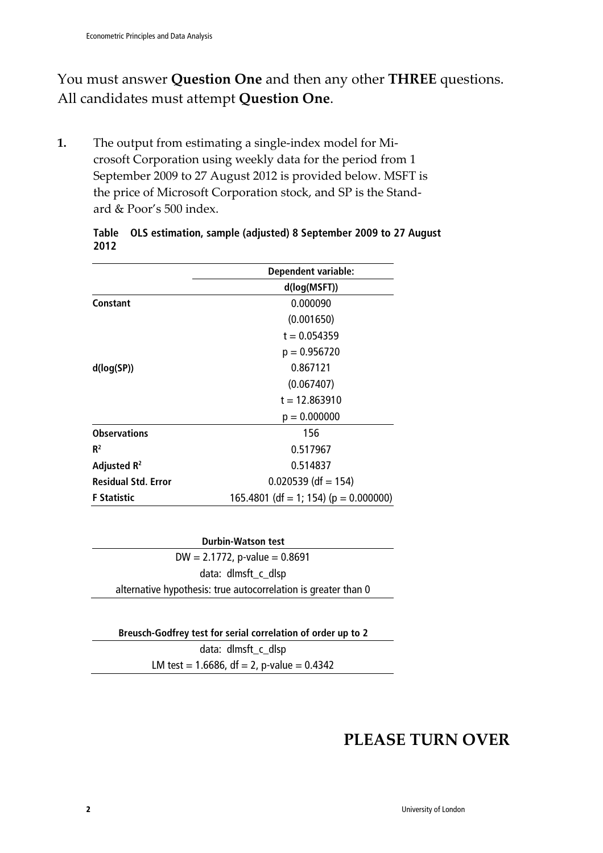## You must answer **Question One** and then any other **THREE** questions. All candidates must attempt **Question One**.

**1.** The output from estimating a single-index model for Microsoft Corporation using weekly data for the period from 1 September 2009 to 27 August 2012 is provided below. MSFT is the price of Microsoft Corporation stock, and SP is the Standard & Poor's 500 index.

|                            | <b>Dependent variable:</b>                |
|----------------------------|-------------------------------------------|
|                            | d(log(MSFT))                              |
| Constant                   | 0.000090                                  |
|                            | (0.001650)                                |
|                            | $t = 0.054359$                            |
|                            | $p = 0.956720$                            |
| d(log(SP))                 | 0.867121                                  |
|                            | (0.067407)                                |
|                            | $t = 12.863910$                           |
|                            | $p = 0.000000$                            |
| <b>Observations</b>        | 156                                       |
| $R^2$                      | 0.517967                                  |
| Adjusted R <sup>2</sup>    | 0.514837                                  |
| <b>Residual Std. Error</b> | $0.020539$ (df = 154)                     |
| <b>F</b> Statistic         | 165.4801 (df = 1; 154) ( $p = 0.000000$ ) |

#### **Table OLS estimation, sample (adjusted) 8 September 2009 to 27 August 2012**

| <b>Durbin-Watson test</b>                                      |
|----------------------------------------------------------------|
| $DW = 2.1772$ , p-value = 0.8691                               |
| data: dlmsft_c_dlsp                                            |
| alternative hypothesis: true autocorrelation is greater than 0 |

| Breusch-Godfrey test for serial correlation of order up to 2 |  |
|--------------------------------------------------------------|--|
| data: dlmsft_c_dlsp                                          |  |
| LM test = 1.6686, $df = 2$ , p-value = 0.4342                |  |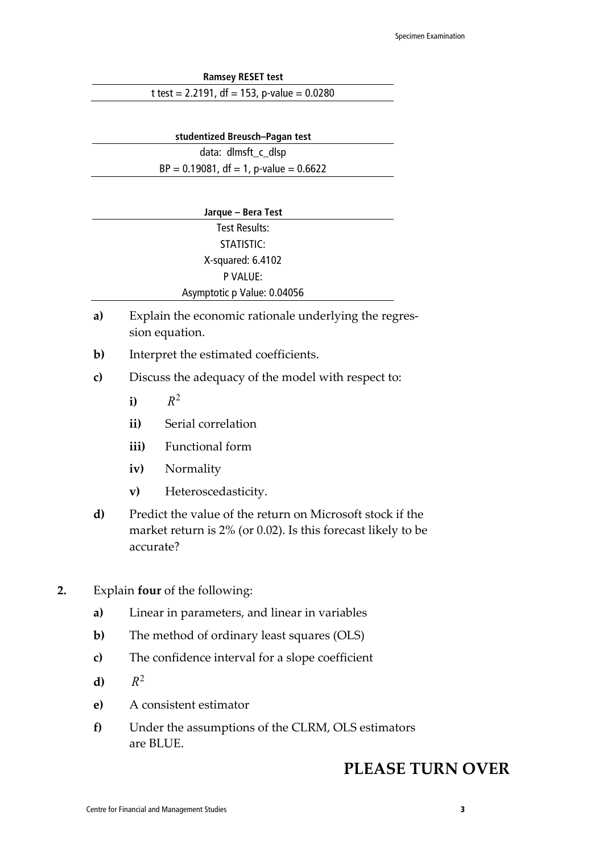| <b>Ramsey RESET test</b>                      |  |
|-----------------------------------------------|--|
| t test = 2.2191, df = 153, p-value = $0.0280$ |  |

| studentized Breusch-Pagan test            |  |
|-------------------------------------------|--|
| data: dlmsft_c_dlsp                       |  |
| $BP = 0.19081$ , df = 1, p-value = 0.6622 |  |

| Jarque - Bera Test          |  |
|-----------------------------|--|
| Test Results:               |  |
| STATISTIC:                  |  |
| X-squared: 6.4102           |  |
| P VALUE:                    |  |
| Asymptotic p Value: 0.04056 |  |
|                             |  |

- **a)** Explain the economic rationale underlying the regression equation.
- **b)** Interpret the estimated coefficients.
- **c)** Discuss the adequacy of the model with respect to:
	- **i)**  $R^2$
	- **ii)** Serial correlation
	- **iii)** Functional form
	- **iv)** Normality
	- **v)** Heteroscedasticity.
- **d)** Predict the value of the return on Microsoft stock if the market return is 2% (or 0.02). Is this forecast likely to be accurate?
- **2.** Explain **four** of the following:
	- **a)** Linear in parameters, and linear in variables
	- **b)** The method of ordinary least squares (OLS)
	- **c)** The confidence interval for a slope coefficient
	- **d)**  $R^2$
	- **e)** A consistent estimator
	- **f)** Under the assumptions of the CLRM, OLS estimators are BLUE.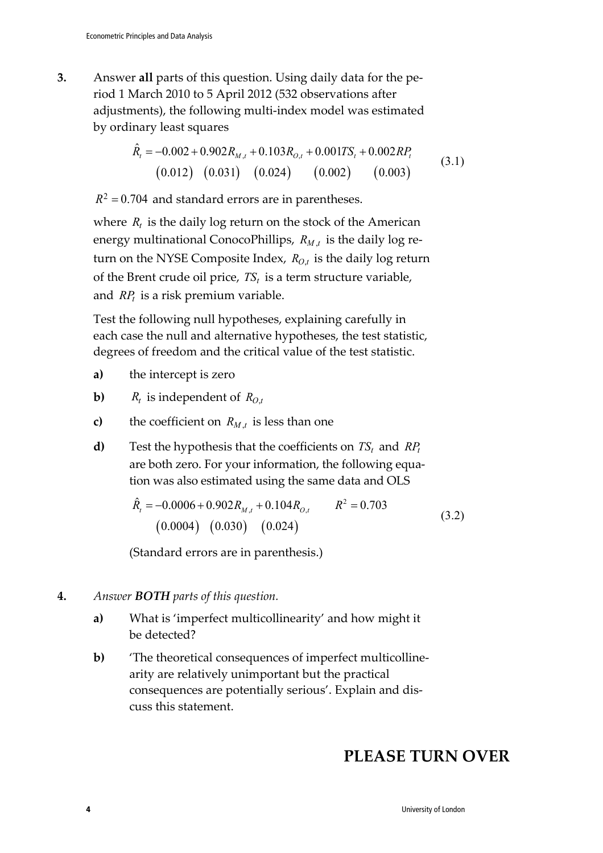**3.** Answer **all** parts of this question. Using daily data for the period 1 March 2010 to 5 April 2012 (532 observations after adjustments), the following multi-index model was estimated by ordinary least squares

$$
\hat{R}_t = -0.002 + 0.902 R_{M,t} + 0.103 R_{O,t} + 0.001 T S_t + 0.002 R P_t
$$
\n(3.1)  
\n(0.012) (0.031) (0.024) (0.002) (0.003)

 $R^2$  = 0.704 and standard errors are in parentheses.

where  $R_t$  is the daily log return on the stock of the American energy multinational ConocoPhillips,  $R_{M,t}$  is the daily log return on the NYSE Composite Index,  $R_{O,t}$  is the daily log return of the Brent crude oil price,  $TS_t$  is a term structure variable, and  $RP<sub>t</sub>$  is a risk premium variable.

Test the following null hypotheses, explaining carefully in each case the null and alternative hypotheses, the test statistic, degrees of freedom and the critical value of the test statistic.

- **a)** the intercept is zero
- **b)**  $R_t$  is independent of  $R_{0,t}$
- **c)** the coefficient on  $R_{M,t}$  is less than one
- **d**) Test the hypothesis that the coefficients on  $TS_t$  and  $RP_t$ are both zero. For your information, the following equation was also estimated using the same data and OLS

$$
\hat{R}_t = -0.0006 + 0.902 R_{M,t} + 0.104 R_{O,t} \qquad R^2 = 0.703
$$
\n
$$
(0.0004) (0.030) (0.024)
$$
\n(3.2)

(Standard errors are in parenthesis.)

- **4.** *Answer BOTH parts of this question.*
	- **a)** What is 'imperfect multicollinearity' and how might it be detected?
	- **b)** 'The theoretical consequences of imperfect multicollinearity are relatively unimportant but the practical consequences are potentially serious'. Explain and discuss this statement.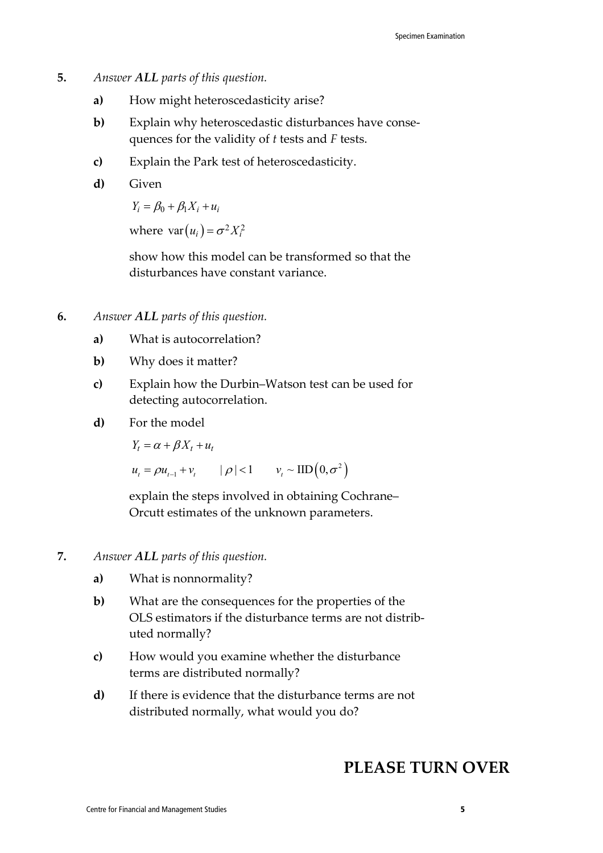- **5.** *Answer ALL parts of this question.* 
	- **a)** How might heteroscedasticity arise?
	- **b**) Explain why heteroscedastic disturbances have consequences for the validity of *t* tests and *F* tests.
	- **c)** Explain the Park test of heteroscedasticity.
	- **d)** Given

 $Y_i = \beta_0 + \beta_1 X_i + u_i$ 

where  $var(u_i) = \sigma^2 X_i^2$ 

show how this model can be transformed so that the disturbances have constant variance.

- **6.** *Answer ALL parts of this question.*
	- **a)** What is autocorrelation?
	- **b)** Why does it matter?
	- **c)** Explain how the Durbin–Watson test can be used for detecting autocorrelation.
	- **d)** For the model

 $Y_t = \alpha + \beta X_t + u_t$ 

 $u_t = \rho u_{t-1} + v_t \qquad |\rho| < 1 \qquad v_t \sim \text{IID}\left(0, \sigma^2\right)$ 

explain the steps involved in obtaining Cochrane– Orcutt estimates of the unknown parameters.

- **7.** *Answer ALL parts of this question.*
	- **a)** What is nonnormality?
	- **b)** What are the consequences for the properties of the OLS estimators if the disturbance terms are not distributed normally?
	- **c)** How would you examine whether the disturbance terms are distributed normally?
	- **d)** If there is evidence that the disturbance terms are not distributed normally, what would you do?